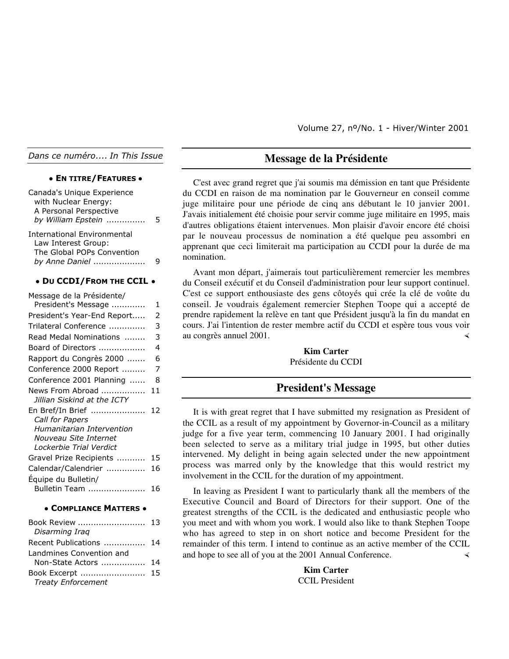Volume 27, nº/No. 1 - Hiver/Winter 2001

*Dans ce numéro.... In This Issue*

#### **• EN TITRE/FEATURES •**

| Canada's Unique Experience<br>with Nuclear Energy:<br>A Personal Perspective<br>by William Epstein        | 5  |
|-----------------------------------------------------------------------------------------------------------|----|
| <b>International Environmental</b><br>Law Interest Group:<br>The Global POPs Convention<br>by Anne Daniel | g  |
| • DU CCDI/FROM THE CCIL                                                                                   |    |
| Message de la Présidente/                                                                                 |    |
| President's Message                                                                                       | 1  |
| President's Year-End Report                                                                               | 2  |
| Trilateral Conference                                                                                     | 3  |
| Read Medal Nominations                                                                                    | 3  |
| Board of Directors                                                                                        | 4  |
| Rapport du Congrès 2000                                                                                   | 6  |
| Conference 2000 Report                                                                                    | 7  |
| Conference 2001 Planning                                                                                  | 8  |
| News From Abroad<br>Jillian Siskind at the ICTY                                                           | 11 |
| En Bref/In Brief<br><b>Call for Papers</b>                                                                | 12 |
| Humanitarian Intervention                                                                                 |    |
| Nouveau Site Internet<br>Lockerbie Trial Verdict                                                          |    |
|                                                                                                           | 15 |
| Gravel Prize Recipients                                                                                   |    |
| Calendar/Calendrier                                                                                       | 16 |
| Équipe du Bulletin/                                                                                       |    |
| Bulletin Team                                                                                             | 16 |
|                                                                                                           |    |

#### **• COMPLIANCE MATTERS •**

| Book Review  13           |  |
|---------------------------|--|
| Disarming Irag            |  |
| Recent Publications  14   |  |
| Landmines Convention and  |  |
| Non-State Actors  14      |  |
|                           |  |
| <b>Treaty Enforcement</b> |  |

## **Message de la Présidente**

C'est avec grand regret que j'ai soumis ma démission en tant que Présidente du CCDI en raison de ma nomination par le Gouverneur en conseil comme juge militaire pour une période de cinq ans débutant le 10 janvier 2001. J'avais initialement été choisie pour servir comme juge militaire en 1995, mais d'autres obligations étaient intervenues. Mon plaisir d'avoir encore été choisi par le nouveau processus de nomination a été quelque peu assombri en apprenant que ceci limiterait ma participation au CCDI pour la durée de ma nomination.

Avant mon départ, j'aimerais tout particulièrement remercier les membres du Conseil exécutif et du Conseil d'administration pour leur support continuel. C'est ce support enthousiaste des gens côtoyés qui crée la clé de voûte du conseil. Je voudrais également remercier Stephen Toope qui a accepté de prendre rapidement la relève en tant que Président jusqu'à la fin du mandat en cours. J'ai l'intention de rester membre actif du CCDI et espère tous vous voir au congrès annuel 2001.

> **Kim Carter** Présidente du CCDI

## **President's Message**

It is with great regret that I have submitted my resignation as President of the CCIL as a result of my appointment by Governor-in-Council as a military judge for a five year term, commencing 10 January 2001. I had originally been selected to serve as a military trial judge in 1995, but other duties intervened. My delight in being again selected under the new appointment process was marred only by the knowledge that this would restrict my involvement in the CCIL for the duration of my appointment.

In leaving as President I want to particularly thank all the members of the Executive Council and Board of Directors for their support. One of the greatest strengths of the CCIL is the dedicated and enthusiastic people who you meet and with whom you work. I would also like to thank Stephen Toope who has agreed to step in on short notice and become President for the remainder of this term. I intend to continue as an active member of the CCIL and hope to see all of you at the 2001 Annual Conference.

> **Kim Carter** CCIL President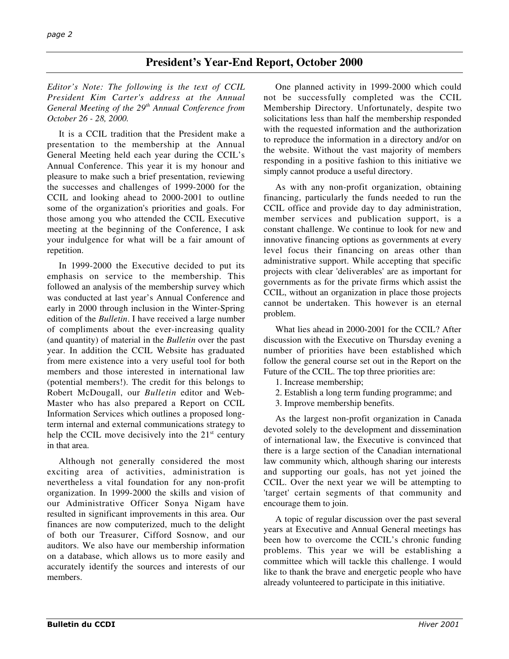## **President's Year-End Report, October 2000**

*Editor's Note: The following is the text of CCIL President Kim Carter's address at the Annual General Meeting of the 29th Annual Conference from October 26 - 28, 2000.*

It is a CCIL tradition that the President make a presentation to the membership at the Annual General Meeting held each year during the CCIL's Annual Conference. This year it is my honour and pleasure to make such a brief presentation, reviewing the successes and challenges of 1999-2000 for the CCIL and looking ahead to 2000-2001 to outline some of the organization's priorities and goals. For those among you who attended the CCIL Executive meeting at the beginning of the Conference, I ask your indulgence for what will be a fair amount of repetition.

In 1999-2000 the Executive decided to put its emphasis on service to the membership. This followed an analysis of the membership survey which was conducted at last year's Annual Conference and early in 2000 through inclusion in the Winter-Spring edition of the *Bulletin*. I have received a large number of compliments about the ever-increasing quality (and quantity) of material in the *Bulletin* over the past year. In addition the CCIL Website has graduated from mere existence into a very useful tool for both members and those interested in international law (potential members!). The credit for this belongs to Robert McDougall, our *Bulletin* editor and Web-Master who has also prepared a Report on CCIL Information Services which outlines a proposed longterm internal and external communications strategy to help the CCIL move decisively into the  $21<sup>st</sup>$  century in that area.

Although not generally considered the most exciting area of activities, administration is nevertheless a vital foundation for any non-profit organization. In 1999-2000 the skills and vision of our Administrative Officer Sonya Nigam have resulted in significant improvements in this area. Our finances are now computerized, much to the delight of both our Treasurer, Cifford Sosnow, and our auditors. We also have our membership information on a database, which allows us to more easily and accurately identify the sources and interests of our members.

One planned activity in 1999-2000 which could not be successfully completed was the CCIL Membership Directory. Unfortunately, despite two solicitations less than half the membership responded with the requested information and the authorization to reproduce the information in a directory and/or on the website. Without the vast majority of members responding in a positive fashion to this initiative we simply cannot produce a useful directory.

As with any non-profit organization, obtaining financing, particularly the funds needed to run the CCIL office and provide day to day administration, member services and publication support, is a constant challenge. We continue to look for new and innovative financing options as governments at every level focus their financing on areas other than administrative support. While accepting that specific projects with clear 'deliverables' are as important for governments as for the private firms which assist the CCIL, without an organization in place those projects cannot be undertaken. This however is an eternal problem.

What lies ahead in 2000-2001 for the CCIL? After discussion with the Executive on Thursday evening a number of priorities have been established which follow the general course set out in the Report on the Future of the CCIL. The top three priorities are:

- 1. Increase membership;
- 2. Establish a long term funding programme; and
- 3. Improve membership benefits.

As the largest non-profit organization in Canada devoted solely to the development and dissemination of international law, the Executive is convinced that there is a large section of the Canadian international law community which, although sharing our interests and supporting our goals, has not yet joined the CCIL. Over the next year we will be attempting to 'target' certain segments of that community and encourage them to join.

A topic of regular discussion over the past several years at Executive and Annual General meetings has been how to overcome the CCIL's chronic funding problems. This year we will be establishing a committee which will tackle this challenge. I would like to thank the brave and energetic people who have already volunteered to participate in this initiative.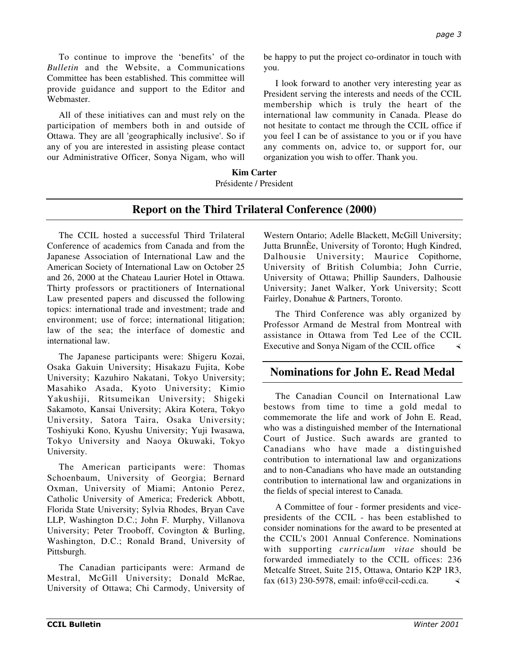To continue to improve the 'benefits' of the *Bulletin* and the Website, a Communications Committee has been established. This committee will provide guidance and support to the Editor and Webmaster.

All of these initiatives can and must rely on the participation of members both in and outside of Ottawa. They are all 'geographically inclusive'. So if any of you are interested in assisting please contact our Administrative Officer, Sonya Nigam, who will

be happy to put the project co-ordinator in touch with you.

I look forward to another very interesting year as President serving the interests and needs of the CCIL membership which is truly the heart of the international law community in Canada. Please do not hesitate to contact me through the CCIL office if you feel I can be of assistance to you or if you have any comments on, advice to, or support for, our organization you wish to offer. Thank you.

## **Kim Carter** Présidente / President

# **Report on the Third Trilateral Conference (2000)**

The CCIL hosted a successful Third Trilateral Conference of academics from Canada and from the Japanese Association of International Law and the American Society of International Law on October 25 and 26, 2000 at the Chateau Laurier Hotel in Ottawa. Thirty professors or practitioners of International Law presented papers and discussed the following topics: international trade and investment; trade and environment; use of force; international litigation; law of the sea; the interface of domestic and international law.

The Japanese participants were: Shigeru Kozai, Osaka Gakuin University; Hisakazu Fujita, Kobe University; Kazuhiro Nakatani, Tokyo University; Masahiko Asada, Kyoto University; Kimio Yakushiji, Ritsumeikan University; Shigeki Sakamoto, Kansai University; Akira Kotera, Tokyo University, Satora Taira, Osaka University; Toshiyuki Kono, Kyushu University; Yuji Iwasawa, Tokyo University and Naoya Okuwaki, Tokyo University.

The American participants were: Thomas Schoenbaum, University of Georgia; Bernard Oxman, University of Miami; Antonio Perez, Catholic University of America; Frederick Abbott, Florida State University; Sylvia Rhodes, Bryan Cave LLP, Washington D.C.; John F. Murphy, Villanova University; Peter Trooboff, Covington & Burling, Washington, D.C.; Ronald Brand, University of Pittsburgh.

The Canadian participants were: Armand de Mestral, McGill University; Donald McRae, University of Ottawa; Chi Carmody, University of

Western Ontario; Adelle Blackett, McGill University; Jutta BrunnÈe, University of Toronto; Hugh Kindred, Dalhousie University; Maurice Copithorne, University of British Columbia; John Currie, University of Ottawa; Phillip Saunders, Dalhousie University; Janet Walker, York University; Scott Fairley, Donahue & Partners, Toronto.

The Third Conference was ably organized by Professor Armand de Mestral from Montreal with assistance in Ottawa from Ted Lee of the CCIL Executive and Sonya Nigam of the CCIL office

# **Nominations for John E. Read Medal**

The Canadian Council on International Law bestows from time to time a gold medal to commemorate the life and work of John E. Read, who was a distinguished member of the International Court of Justice. Such awards are granted to Canadians who have made a distinguished contribution to international law and organizations and to non-Canadians who have made an outstanding contribution to international law and organizations in the fields of special interest to Canada.

A Committee of four - former presidents and vicepresidents of the CCIL - has been established to consider nominations for the award to be presented at the CCIL's 2001 Annual Conference. Nominations with supporting *curriculum vitae* should be forwarded immediately to the CCIL offices: 236 Metcalfe Street, Suite 215, Ottawa, Ontario K2P 1R3, fax (613) 230-5978, email: info@ccil-ccdi.ca.  $\triangleleft$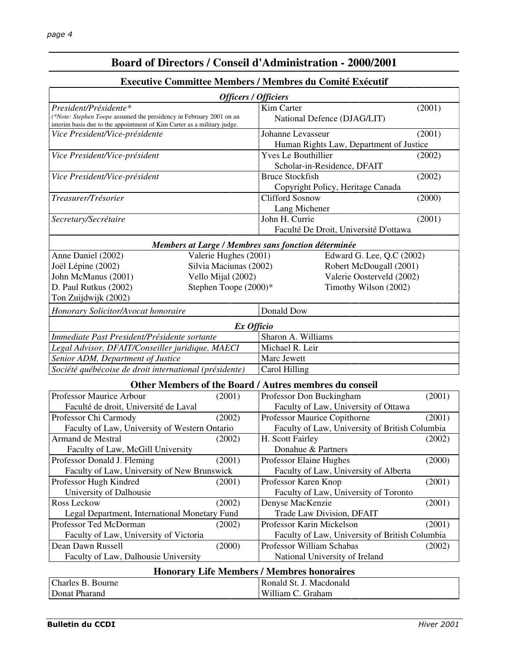# **Board of Directors / Conseil d'Administration - 2000/2001**

## **Executive Committee Members / Membres du Comité Exécutif**

| Officers / Officiers                                                                                                                           |                        |                                                        |        |  |  |
|------------------------------------------------------------------------------------------------------------------------------------------------|------------------------|--------------------------------------------------------|--------|--|--|
| President/Présidente*                                                                                                                          |                        | Kim Carter                                             | (2001) |  |  |
| (*Note: Stephen Toope assumed the presidency in February 2001 on an<br>interim basis due to the appointment of Kim Carter as a military judge. |                        | National Defence (DJAG/LIT)                            |        |  |  |
| Vice President/Vice-présidente                                                                                                                 |                        | Johanne Levasseur                                      | (2001) |  |  |
|                                                                                                                                                |                        | Human Rights Law, Department of Justice                |        |  |  |
| Vice President/Vice-président                                                                                                                  |                        | <b>Yves Le Bouthillier</b>                             | (2002) |  |  |
|                                                                                                                                                |                        | Scholar-in-Residence, DFAIT                            |        |  |  |
| Vice President/Vice-président                                                                                                                  |                        | <b>Bruce Stockfish</b>                                 | (2002) |  |  |
|                                                                                                                                                |                        | Copyright Policy, Heritage Canada                      |        |  |  |
| Treasurer/Trésorier                                                                                                                            |                        | <b>Clifford Sosnow</b>                                 | (2000) |  |  |
|                                                                                                                                                |                        | Lang Michener                                          |        |  |  |
| Secretary/Secrétaire                                                                                                                           |                        | John H. Currie                                         | (2001) |  |  |
|                                                                                                                                                |                        | Faculté De Droit, Université D'ottawa                  |        |  |  |
|                                                                                                                                                |                        | Members at Large / Membres sans fonction déterminée    |        |  |  |
| Anne Daniel (2002)                                                                                                                             | Valerie Hughes (2001)  | Edward G. Lee, Q.C (2002)                              |        |  |  |
| Joël Lépine (2002)                                                                                                                             | Silvia Maciunas (2002) | Robert McDougall (2001)                                |        |  |  |
| John McManus (2001)                                                                                                                            | Vello Mijal (2002)     | Valerie Oosterveld (2002)                              |        |  |  |
| D. Paul Rutkus (2002)                                                                                                                          | Stephen Toope (2000)*  | Timothy Wilson (2002)                                  |        |  |  |
| Ton Zuijdwijk (2002)                                                                                                                           |                        |                                                        |        |  |  |
| Honorary Solicitor/Avocat honoraire                                                                                                            |                        | Donald Dow                                             |        |  |  |
|                                                                                                                                                | Ex Officio             |                                                        |        |  |  |
| Immediate Past President/Présidente sortante                                                                                                   |                        | Sharon A. Williams                                     |        |  |  |
| Legal Advisor, DFAIT/Conseiller juridique, MAECI                                                                                               |                        | Michael R. Leir                                        |        |  |  |
| Senior ADM, Department of Justice                                                                                                              |                        | Marc Jewett                                            |        |  |  |
| Société québécoise de droit international (présidente)                                                                                         |                        | Carol Hilling                                          |        |  |  |
|                                                                                                                                                |                        |                                                        |        |  |  |
|                                                                                                                                                |                        | Other Members of the Board / Autres membres du conseil |        |  |  |
| Professor Maurice Arbour                                                                                                                       | (2001)                 | Professor Don Buckingham                               | (2001) |  |  |
| Faculté de droit, Université de Laval                                                                                                          |                        | Faculty of Law, University of Ottawa                   |        |  |  |
| Professor Chi Carmody                                                                                                                          | (2002)                 | Professor Maurice Copithorne                           | (2001) |  |  |
| Faculty of Law, University of Western Ontario                                                                                                  |                        | Faculty of Law, University of British Columbia         |        |  |  |
| Armand de Mestral                                                                                                                              | (2002)                 | H. Scott Fairley                                       | (2002) |  |  |
| Faculty of Law, McGill University                                                                                                              |                        | Donahue & Partners                                     |        |  |  |
| Professor Donald J. Fleming                                                                                                                    | (2001)                 | Professor Elaine Hughes                                | (2000) |  |  |
| Faculty of Law, University of New Brunswick                                                                                                    |                        | Faculty of Law, University of Alberta                  |        |  |  |
| Professor Hugh Kindred                                                                                                                         | (2001)                 | Professor Karen Knop                                   | (2001) |  |  |
| University of Dalhousie                                                                                                                        |                        | Faculty of Law, University of Toronto                  |        |  |  |
| Ross Leckow                                                                                                                                    | (2002)                 | Denyse MacKenzie                                       | (2001) |  |  |
| Legal Department, International Monetary Fund                                                                                                  |                        | Trade Law Division, DFAIT                              |        |  |  |
| Professor Ted McDorman                                                                                                                         | (2002)                 | Professor Karin Mickelson                              | (2001) |  |  |
| Faculty of Law, University of Victoria                                                                                                         |                        | Faculty of Law, University of British Columbia         |        |  |  |
| Dean Dawn Russell                                                                                                                              | (2000)                 | Professor William Schabas                              | (2002) |  |  |
| Faculty of Law, Dalhousie University                                                                                                           |                        | National University of Ireland                         |        |  |  |
| <b>Honorary Life Members / Membres honoraires</b>                                                                                              |                        |                                                        |        |  |  |
| Charles B. Bourne                                                                                                                              |                        | Ronald St. J. Macdonald                                |        |  |  |
| Donat Pharand                                                                                                                                  |                        | William C. Graham                                      |        |  |  |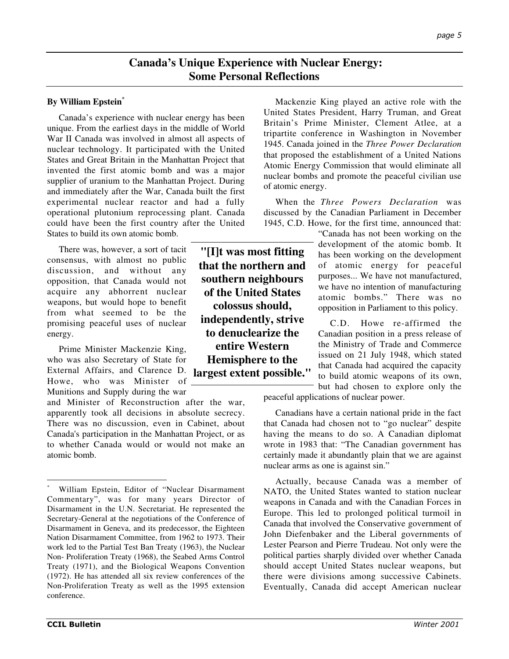## **Canada's Unique Experience with Nuclear Energy: Some Personal Reflections**

### **By William Epstein\***

Canada's experience with nuclear energy has been unique. From the earliest days in the middle of World War II Canada was involved in almost all aspects of nuclear technology. It participated with the United States and Great Britain in the Manhattan Project that invented the first atomic bomb and was a major supplier of uranium to the Manhattan Project. During and immediately after the War, Canada built the first experimental nuclear reactor and had a fully operational plutonium reprocessing plant. Canada could have been the first country after the United States to build its own atomic bomb.

There was, however, a sort of tacit consensus, with almost no public discussion, and without any opposition, that Canada would not acquire any abhorrent nuclear weapons, but would hope to benefit from what seemed to be the promising peaceful uses of nuclear energy.

Prime Minister Mackenzie King, who was also Secretary of State for External Affairs, and Clarence D. Howe, who was Minister of Munitions and Supply during the war

and Minister of Reconstruction after the war, apparently took all decisions in absolute secrecy. There was no discussion, even in Cabinet, about Canada's participation in the Manhattan Project, or as to whether Canada would or would not make an atomic bomb.

**"[I]t was most fitting that the northern and southern neighbours of the United States colossus should, independently, strive to denuclearize the entire Western Hemisphere to the largest extent possible."**

Mackenzie King played an active role with the United States President, Harry Truman, and Great Britain's Prime Minister, Clement Atlee, at a tripartite conference in Washington in November 1945. Canada joined in the *Three Power Declaration* that proposed the establishment of a United Nations Atomic Energy Commission that would eliminate all nuclear bombs and promote the peaceful civilian use of atomic energy.

When the *Three Powers Declaration* was discussed by the Canadian Parliament in December 1945, C.D. Howe, for the first time, announced that:

> "Canada has not been working on the development of the atomic bomb. It has been working on the development of atomic energy for peaceful purposes... We have not manufactured, we have no intention of manufacturing atomic bombs." There was no opposition in Parliament to this policy.

> C.D. Howe re-affirmed the Canadian position in a press release of the Ministry of Trade and Commerce issued on 21 July 1948, which stated that Canada had acquired the capacity to build atomic weapons of its own, but had chosen to explore only the

peaceful applications of nuclear power.

Canadians have a certain national pride in the fact that Canada had chosen not to "go nuclear" despite having the means to do so. A Canadian diplomat wrote in 1983 that: "The Canadian government has certainly made it abundantly plain that we are against nuclear arms as one is against sin."

Actually, because Canada was a member of NATO, the United States wanted to station nuclear weapons in Canada and with the Canadian Forces in Europe. This led to prolonged political turmoil in Canada that involved the Conservative government of John Diefenbaker and the Liberal governments of Lester Pearson and Pierre Trudeau. Not only were the political parties sharply divided over whether Canada should accept United States nuclear weapons, but there were divisions among successive Cabinets. Eventually, Canada did accept American nuclear

William Epstein, Editor of "Nuclear Disarmament Commentary", was for many years Director of Disarmament in the U.N. Secretariat. He represented the Secretary-General at the negotiations of the Conference of Disarmament in Geneva, and its predecessor, the Eighteen Nation Disarmament Committee, from 1962 to 1973. Their work led to the Partial Test Ban Treaty (1963), the Nuclear Non- Proliferation Treaty (1968), the Seabed Arms Control Treaty (1971), and the Biological Weapons Convention (1972). He has attended all six review conferences of the Non-Proliferation Treaty as well as the 1995 extension conference.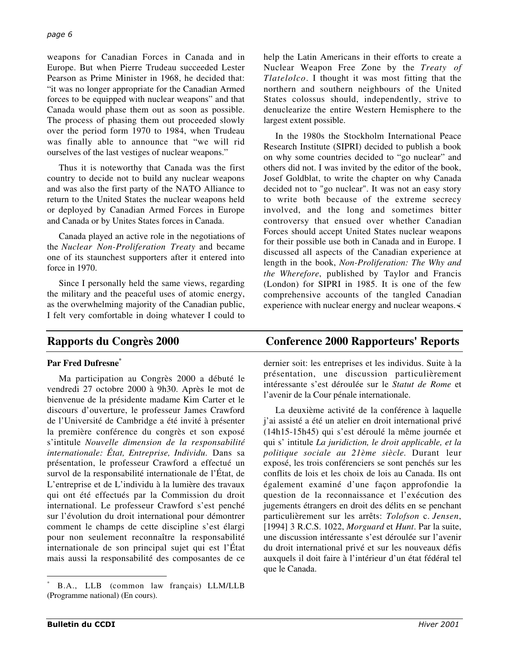weapons for Canadian Forces in Canada and in Europe. But when Pierre Trudeau succeeded Lester Pearson as Prime Minister in 1968, he decided that: "it was no longer appropriate for the Canadian Armed forces to be equipped with nuclear weapons" and that Canada would phase them out as soon as possible. The process of phasing them out proceeded slowly over the period form 1970 to 1984, when Trudeau was finally able to announce that "we will rid ourselves of the last vestiges of nuclear weapons."

Thus it is noteworthy that Canada was the first country to decide not to build any nuclear weapons and was also the first party of the NATO Alliance to return to the United States the nuclear weapons held or deployed by Canadian Armed Forces in Europe and Canada or by Unites States forces in Canada.

Canada played an active role in the negotiations of the *Nuclear Non-Proliferation Treaty* and became one of its staunchest supporters after it entered into force in 1970.

Since I personally held the same views, regarding the military and the peaceful uses of atomic energy, as the overwhelming majority of the Canadian public, I felt very comfortable in doing whatever I could to

help the Latin Americans in their efforts to create a Nuclear Weapon Free Zone by the *Treaty of Tlatelolco*. I thought it was most fitting that the northern and southern neighbours of the United States colossus should, independently, strive to denuclearize the entire Western Hemisphere to the largest extent possible.

In the 1980s the Stockholm International Peace Research Institute (SIPRI) decided to publish a book on why some countries decided to "go nuclear" and others did not. I was invited by the editor of the book, Josef Goldblat, to write the chapter on why Canada decided not to "go nuclear". It was not an easy story to write both because of the extreme secrecy involved, and the long and sometimes bitter controversy that ensued over whether Canadian Forces should accept United States nuclear weapons for their possible use both in Canada and in Europe. I discussed all aspects of the Canadian experience at length in the book, *Non-Proliferation: The Why and the Wherefore*, published by Taylor and Francis (London) for SIPRI in 1985. It is one of the few comprehensive accounts of the tangled Canadian experience with nuclear energy and nuclear weapons.

## **Par Fred Dufresne\***

Ma participation au Congrès 2000 a débuté le vendredi 27 octobre 2000 à 9h30. Après le mot de bienvenue de la présidente madame Kim Carter et le discours d'ouverture, le professeur James Crawford de l'Université de Cambridge a été invité à présenter la première conférence du congrès et son exposé s'intitule *Nouvelle dimension de la responsabilité internationale: État, Entreprise, Individu*. Dans sa présentation, le professeur Crawford a effectué un survol de la responsabilité internationale de l'État, de L'entreprise et de L'individu à la lumière des travaux qui ont été effectués par la Commission du droit international. Le professeur Crawford s'est penché sur l'évolution du droit international pour démontrer comment le champs de cette discipline s'est élargi pour non seulement reconnaître la responsabilité internationale de son principal sujet qui est l'État mais aussi la responsabilité des composantes de ce

## **Rapports du Congrès 2000 Conference 2000 Rapporteurs' Reports**

dernier soit: les entreprises et les individus. Suite à la présentation, une discussion particulièrement intéressante s'est déroulée sur le *Statut de Rome* et l'avenir de la Cour pénale internationale.

La deuxième activité de la conférence à laquelle j'ai assisté a été un atelier en droit international privé (14h15-15h45) qui s'est déroulé la même journée et qui s' intitule *La juridiction, le droit applicable, et la politique sociale au 21ème siècle.* Durant leur exposé, les trois conférenciers se sont penchés sur les conflits de lois et les choix de lois au Canada. Ils ont également examiné d'une façon approfondie la question de la reconnaissance et l'exécution des jugements étrangers en droit des délits en se penchant particulièrement sur les arrêts: *Tolofson* c. *Jensen*, [1994] 3 R.C.S. 1022, *Morguard* et *Hunt*. Par la suite, une discussion intéressante s'est déroulée sur l'avenir du droit international privé et sur les nouveaux défis auxquels il doit faire à l'intérieur d'un état fédéral tel que le Canada.

 <sup>\*</sup> B.A., LLB (common law français) LLM/LLB (Programme national) (En cours).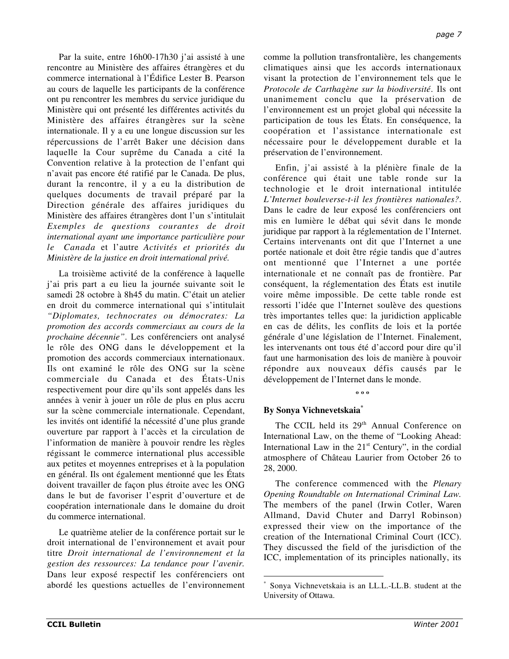Par la suite, entre 16h00-17h30 j'ai assisté à une rencontre au Ministère des affaires étrangères et du commerce international à l'Édifice Lester B. Pearson au cours de laquelle les participants de la conférence ont pu rencontrer les membres du service juridique du Ministère qui ont présenté les différentes activités du Ministère des affaires étrangères sur la scène internationale. Il y a eu une longue discussion sur les répercussions de l'arrêt Baker une décision dans laquelle la Cour suprême du Canada a cité la Convention relative à la protection de l'enfant qui n'avait pas encore été ratifié par le Canada. De plus, durant la rencontre, il y a eu la distribution de quelques documents de travail préparé par la Direction générale des affaires juridiques du Ministère des affaires étrangères dont l'un s'intitulait *Exemples de questions courantes de droit international ayant une importance particulière pour le Canada* et l'autre *Activités et priorités du Ministère de la justice en droit international privé.*

La troisième activité de la conférence à laquelle j'ai pris part a eu lieu la journée suivante soit le samedi 28 octobre à 8h45 du matin. C'était un atelier en droit du commerce international qui s'intitulait *"Diplomates, technocrates ou démocrates: La promotion des accords commerciaux au cours de la prochaine décennie"*. Les conférenciers ont analysé le rôle des ONG dans le développement et la promotion des accords commerciaux internationaux. Ils ont examiné le rôle des ONG sur la scène commerciale du Canada et des États-Unis respectivement pour dire qu'ils sont appelés dans les années à venir à jouer un rôle de plus en plus accru sur la scène commerciale internationale. Cependant, les invités ont identifié la nécessité d'une plus grande ouverture par rapport à l'accès et la circulation de l'information de manière à pouvoir rendre les règles régissant le commerce international plus accessible aux petites et moyennes entreprises et à la population en général. Ils ont également mentionné que les États doivent travailler de façon plus étroite avec les ONG dans le but de favoriser l'esprit d'ouverture et de coopération internationale dans le domaine du droit du commerce international.

Le quatrième atelier de la conférence portait sur le droit international de l'environnement et avait pour titre *Droit international de l'environnement et la gestion des ressources: La tendance pour l'avenir.* Dans leur exposé respectif les conférenciers ont abordé les questions actuelles de l'environnement

comme la pollution transfrontalière, les changements climatiques ainsi que les accords internationaux visant la protection de l'environnement tels que le *Protocole de Carthagène sur la biodiversité*. Ils ont unanimement conclu que la préservation de l'environnement est un projet global qui nécessite la participation de tous les États. En conséquence, la coopération et l'assistance internationale est nécessaire pour le développement durable et la préservation de l'environnement.

Enfin, j'ai assisté à la plénière finale de la conférence qui était une table ronde sur la technologie et le droit international intitulée *L'Internet bouleverse-t-il les frontières nationales?*. Dans le cadre de leur exposé les conférenciers ont mis en lumière le débat qui sévit dans le monde juridique par rapport à la réglementation de l'Internet. Certains intervenants ont dit que l'Internet a une portée nationale et doit être régie tandis que d'autres ont mentionné que l'Internet a une portée internationale et ne connaît pas de frontière. Par conséquent, la réglementation des États est inutile voire même impossible. De cette table ronde est ressorti l'idée que l'Internet soulève des questions très importantes telles que: la juridiction applicable en cas de délits, les conflits de lois et la portée générale d'une législation de l'Internet. Finalement, les intervenants ont tous été d'accord pour dire qu'il faut une harmonisation des lois de manière à pouvoir répondre aux nouveaux défis causés par le développement de l'Internet dans le monde.

## **º º º**

## **By Sonya Vichnevetskaia\***

The CCIL held its 29<sup>th</sup> Annual Conference on International Law, on the theme of "Looking Ahead: International Law in the  $21<sup>st</sup>$  Century", in the cordial atmosphere of Château Laurier from October 26 to 28, 2000.

The conference commenced with the *Plenary Opening Roundtable on International Criminal Law.* The members of the panel (Irwin Cotler, Waren Allmand, David Chuter and Darryl Robinson) expressed their view on the importance of the creation of the International Criminal Court (ICC). They discussed the field of the jurisdiction of the ICC, implementation of its principles nationally, its

 <sup>\*</sup> Sonya Vichnevetskaia is an LL.L.-LL.B. student at the University of Ottawa.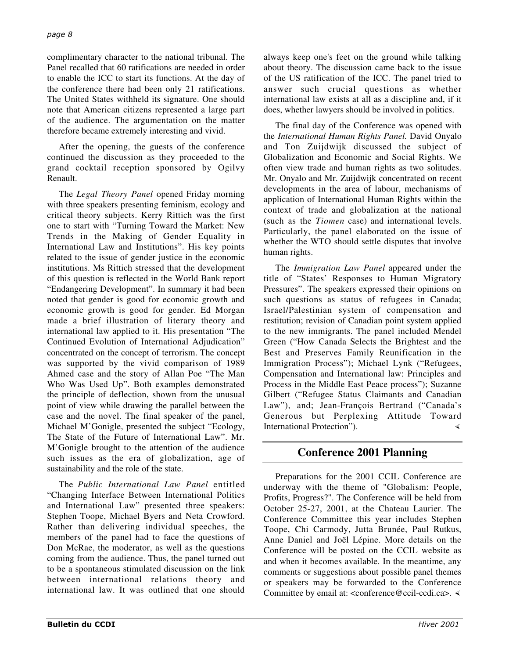complimentary character to the national tribunal. The Panel recalled that 60 ratifications are needed in order to enable the ICC to start its functions. At the day of the conference there had been only 21 ratifications. The United States withheld its signature. One should note that American citizens represented a large part of the audience. The argumentation on the matter therefore became extremely interesting and vivid.

After the opening, the guests of the conference continued the discussion as they proceeded to the grand cocktail reception sponsored by Ogilvy Renault.

The *Legal Theory Panel* opened Friday morning with three speakers presenting feminism, ecology and critical theory subjects. Kerry Rittich was the first one to start with "Turning Toward the Market: New Trends in the Making of Gender Equality in International Law and Institutions". His key points related to the issue of gender justice in the economic institutions. Ms Rittich stressed that the development of this question is reflected in the World Bank report "Endangering Development". In summary it had been noted that gender is good for economic growth and economic growth is good for gender. Ed Morgan made a brief illustration of literary theory and international law applied to it. His presentation "The Continued Evolution of International Adjudication" concentrated on the concept of terrorism. The concept was supported by the vivid comparison of 1989 Ahmed case and the story of Allan Poe "The Man Who Was Used Up". Both examples demonstrated the principle of deflection, shown from the unusual point of view while drawing the parallel between the case and the novel. The final speaker of the panel, Michael M'Gonigle, presented the subject "Ecology, The State of the Future of International Law". Mr. M'Gonigle brought to the attention of the audience such issues as the era of globalization, age of sustainability and the role of the state.

The *Public International Law Panel* entitled "Changing Interface Between International Politics and International Law" presented three speakers: Stephen Toope, Michael Byers and Neta Crowford. Rather than delivering individual speeches, the members of the panel had to face the questions of Don McRae, the moderator, as well as the questions coming from the audience. Thus, the panel turned out to be a spontaneous stimulated discussion on the link between international relations theory and international law. It was outlined that one should

always keep one's feet on the ground while talking about theory. The discussion came back to the issue of the US ratification of the ICC. The panel tried to answer such crucial questions as whether international law exists at all as a discipline and, if it does, whether lawyers should be involved in politics.

The final day of the Conference was opened with the *International Human Rights Panel.* David Onyalo and Ton Zuijdwijk discussed the subject of Globalization and Economic and Social Rights. We often view trade and human rights as two solitudes. Mr. Onyalo and Mr. Zuijdwijk concentrated on recent developments in the area of labour, mechanisms of application of International Human Rights within the context of trade and globalization at the national (such as the *Tiomen* case) and international levels. Particularly, the panel elaborated on the issue of whether the WTO should settle disputes that involve human rights.

The *Immigration Law Panel* appeared under the title of "States' Responses to Human Migratory Pressures". The speakers expressed their opinions on such questions as status of refugees in Canada; Israel/Palestinian system of compensation and restitution; revision of Canadian point system applied to the new immigrants. The panel included Mendel Green ("How Canada Selects the Brightest and the Best and Preserves Family Reunification in the Immigration Process"); Michael Lynk ("Refugees, Compensation and International law: Principles and Process in the Middle East Peace process"); Suzanne Gilbert ("Refugee Status Claimants and Canadian Law"), and; Jean-François Bertrand ("Canada's Generous but Perplexing Attitude Toward International Protection").

# **Conference 2001 Planning**

Preparations for the 2001 CCIL Conference are underway with the theme of "Globalism: People, Profits, Progress?". The Conference will be held from October 25-27, 2001, at the Chateau Laurier. The Conference Committee this year includes Stephen Toope, Chi Carmody, Jutta Brunée, Paul Rutkus, Anne Daniel and Joël Lépine. More details on the Conference will be posted on the CCIL website as and when it becomes available. In the meantime, any comments or suggestions about possible panel themes or speakers may be forwarded to the Conference Committee by email at: <conference@ccil-ccdi.ca>. <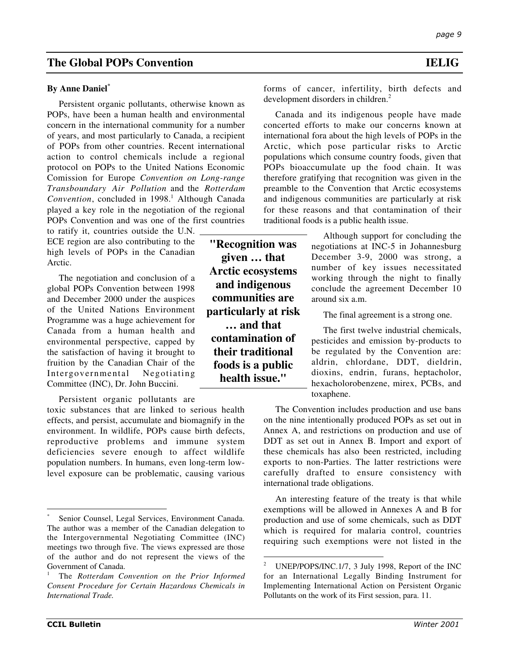## **The Global POPs Convention IELIG**

#### **By Anne Daniel\***

Persistent organic pollutants, otherwise known as POPs, have been a human health and environmental concern in the international community for a number of years, and most particularly to Canada, a recipient of POPs from other countries. Recent international action to control chemicals include a regional protocol on POPs to the United Nations Economic Comission for Europe *Convention on Long-range Transboundary Air Pollution* and the *Rotterdam* Convention, concluded in 1998.<sup>1</sup> Although Canada played a key role in the negotiation of the regional POPs Convention and was one of the first countries

to ratify it, countries outside the U.N. ECE region are also contributing to the high levels of POPs in the Canadian Arctic.

The negotiation and conclusion of a global POPs Convention between 1998 and December 2000 under the auspices of the United Nations Environment Programme was a huge achievement for Canada from a human health and environmental perspective, capped by the satisfaction of having it brought to fruition by the Canadian Chair of the Intergovernmental Negotiating Committee (INC), Dr. John Buccini.

Persistent organic pollutants are

toxic substances that are linked to serious health effects, and persist, accumulate and biomagnify in the environment. In wildlife, POPs cause birth defects, reproductive problems and immune system deficiencies severe enough to affect wildlife population numbers. In humans, even long-term lowlevel exposure can be problematic, causing various

**"Recognition was given … that Arctic ecosystems and indigenous communities are particularly at risk … and that contamination of their traditional foods is a public health issue."**

forms of cancer, infertility, birth defects and development disorders in children.<sup>2</sup>

Canada and its indigenous people have made concerted efforts to make our concerns known at international fora about the high levels of POPs in the Arctic, which pose particular risks to Arctic populations which consume country foods, given that POPs bioaccumulate up the food chain. It was therefore gratifying that recognition was given in the preamble to the Convention that Arctic ecosystems and indigenous communities are particularly at risk for these reasons and that contamination of their traditional foods is a public health issue.

> Although support for concluding the negotiations at INC-5 in Johannesburg December 3-9, 2000 was strong, a number of key issues necessitated working through the night to finally conclude the agreement December 10 around six a.m.

The final agreement is a strong one.

The first twelve industrial chemicals, pesticides and emission by-products to be regulated by the Convention are: aldrin, chlordane, DDT, dieldrin, dioxins, endrin, furans, heptacholor, hexacholorobenzene, mirex, PCBs, and toxaphene.

The Convention includes production and use bans on the nine intentionally produced POPs as set out in Annex A, and restrictions on production and use of DDT as set out in Annex B. Import and export of these chemicals has also been restricted, including exports to non-Parties. The latter restrictions were carefully drafted to ensure consistency with international trade obligations.

An interesting feature of the treaty is that while exemptions will be allowed in Annexes A and B for production and use of some chemicals, such as DDT which is required for malaria control, countries requiring such exemptions were not listed in the

Senior Counsel, Legal Services, Environment Canada. The author was a member of the Canadian delegation to the Intergovernmental Negotiating Committee (INC) meetings two through five. The views expressed are those of the author and do not represent the views of the Government of Canada.

<sup>1</sup> The *Rotterdam Convention on the Prior Informed Consent Procedure for Certain Hazardous Chemicals in International Trade.*

<sup>&</sup>lt;sup>2</sup> UNEP/POPS/INC.1/7, 3 July 1998, Report of the INC for an International Legally Binding Instrument for Implementing International Action on Persistent Organic Pollutants on the work of its First session, para. 11.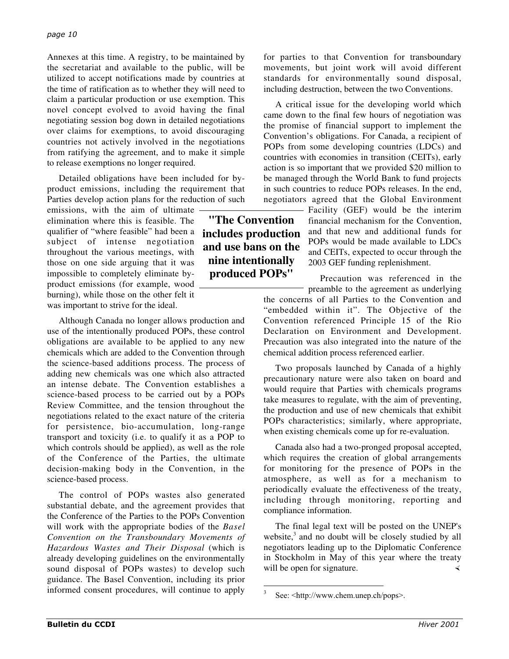Annexes at this time. A registry, to be maintained by the secretariat and available to the public, will be utilized to accept notifications made by countries at the time of ratification as to whether they will need to claim a particular production or use exemption. This novel concept evolved to avoid having the final negotiating session bog down in detailed negotiations over claims for exemptions, to avoid discouraging countries not actively involved in the negotiations from ratifying the agreement, and to make it simple to release exemptions no longer required.

Detailed obligations have been included for byproduct emissions, including the requirement that Parties develop action plans for the reduction of such

emissions, with the aim of ultimate elimination where this is feasible. The qualifier of "where feasible" had been a subject of intense negotiation throughout the various meetings, with those on one side arguing that it was impossible to completely eliminate byproduct emissions (for example, wood burning), while those on the other felt it was important to strive for the ideal.

Although Canada no longer allows production and use of the intentionally produced POPs, these control obligations are available to be applied to any new chemicals which are added to the Convention through the science-based additions process. The process of adding new chemicals was one which also attracted an intense debate. The Convention establishes a science-based process to be carried out by a POPs Review Committee, and the tension throughout the negotiations related to the exact nature of the criteria for persistence, bio-accumulation, long-range transport and toxicity (i.e. to qualify it as a POP to which controls should be applied), as well as the role of the Conference of the Parties, the ultimate decision-making body in the Convention, in the science-based process.

The control of POPs wastes also generated substantial debate, and the agreement provides that the Conference of the Parties to the POPs Convention will work with the appropriate bodies of the *Basel Convention on the Transboundary Movements of Hazardous Wastes and Their Disposal* (which is already developing guidelines on the environmentally sound disposal of POPs wastes) to develop such guidance. The Basel Convention, including its prior informed consent procedures, will continue to apply

for parties to that Convention for transboundary movements, but joint work will avoid different standards for environmentally sound disposal, including destruction, between the two Conventions.

A critical issue for the developing world which came down to the final few hours of negotiation was the promise of financial support to implement the Convention's obligations. For Canada, a recipient of POPs from some developing countries (LDCs) and countries with economies in transition (CEITs), early action is so important that we provided \$20 million to be managed through the World Bank to fund projects in such countries to reduce POPs releases. In the end, negotiators agreed that the Global Environment

> Facility (GEF) would be the interim financial mechanism for the Convention, and that new and additional funds for POPs would be made available to LDCs and CEITs, expected to occur through the 2003 GEF funding replenishment.

> Precaution was referenced in the preamble to the agreement as underlying

the concerns of all Parties to the Convention and "embedded within it". The Objective of the Convention referenced Principle 15 of the Rio Declaration on Environment and Development. Precaution was also integrated into the nature of the chemical addition process referenced earlier.

Two proposals launched by Canada of a highly precautionary nature were also taken on board and would require that Parties with chemicals programs take measures to regulate, with the aim of preventing, the production and use of new chemicals that exhibit POPs characteristics; similarly, where appropriate, when existing chemicals come up for re-evaluation.

Canada also had a two-pronged proposal accepted, which requires the creation of global arrangements for monitoring for the presence of POPs in the atmosphere, as well as for a mechanism to periodically evaluate the effectiveness of the treaty, including through monitoring, reporting and compliance information.

The final legal text will be posted on the UNEP's website, $3$  and no doubt will be closely studied by all negotiators leading up to the Diplomatic Conference in Stockholm in May of this year where the treaty will be open for signature.

# **"The Convention includes production and use bans on the nine intentionally produced POPs"**

See: <http://www.chem.unep.ch/pops>.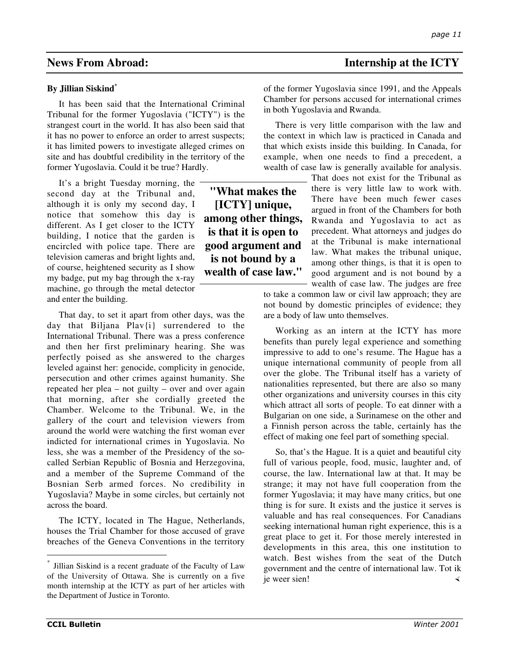## **By Jillian Siskind\***

It has been said that the International Criminal Tribunal for the former Yugoslavia ("ICTY") is the strangest court in the world. It has also been said that it has no power to enforce an order to arrest suspects; it has limited powers to investigate alleged crimes on site and has doubtful credibility in the territory of the former Yugoslavia. Could it be true? Hardly.

It's a bright Tuesday morning, the second day at the Tribunal and, although it is only my second day, I notice that somehow this day is different. As I get closer to the ICTY building, I notice that the garden is encircled with police tape. There are television cameras and bright lights and, of course, heightened security as I show my badge, put my bag through the x-ray machine, go through the metal detector and enter the building.

That day, to set it apart from other days, was the day that Biljana Plav{i} surrendered to the International Tribunal. There was a press conference and then her first preliminary hearing. She was perfectly poised as she answered to the charges leveled against her: genocide, complicity in genocide, persecution and other crimes against humanity. She repeated her plea – not guilty – over and over again that morning, after she cordially greeted the Chamber. Welcome to the Tribunal. We, in the gallery of the court and television viewers from around the world were watching the first woman ever indicted for international crimes in Yugoslavia. No less, she was a member of the Presidency of the socalled Serbian Republic of Bosnia and Herzegovina, and a member of the Supreme Command of the Bosnian Serb armed forces. No credibility in Yugoslavia? Maybe in some circles, but certainly not across the board.

The ICTY, located in The Hague, Netherlands, houses the Trial Chamber for those accused of grave breaches of the Geneva Conventions in the territory

## **News From Abroad: Internship at the ICTY**

of the former Yugoslavia since 1991, and the Appeals Chamber for persons accused for international crimes in both Yugoslavia and Rwanda.

There is very little comparison with the law and the context in which law is practiced in Canada and that which exists inside this building. In Canada, for example, when one needs to find a precedent, a wealth of case law is generally available for analysis.

> That does not exist for the Tribunal as there is very little law to work with. There have been much fewer cases argued in front of the Chambers for both Rwanda and Yugoslavia to act as precedent. What attorneys and judges do at the Tribunal is make international law. What makes the tribunal unique, among other things, is that it is open to good argument and is not bound by a wealth of case law. The judges are free

to take a common law or civil law approach; they are not bound by domestic principles of evidence; they are a body of law unto themselves.

Working as an intern at the ICTY has more benefits than purely legal experience and something impressive to add to one's resume. The Hague has a unique international community of people from all over the globe. The Tribunal itself has a variety of nationalities represented, but there are also so many other organizations and university courses in this city which attract all sorts of people. To eat dinner with a Bulgarian on one side, a Surinamese on the other and a Finnish person across the table, certainly has the effect of making one feel part of something special.

So, that's the Hague. It is a quiet and beautiful city full of various people, food, music, laughter and, of course, the law. International law at that. It may be strange; it may not have full cooperation from the former Yugoslavia; it may have many critics, but one thing is for sure. It exists and the justice it serves is valuable and has real consequences. For Canadians seeking international human right experience, this is a great place to get it. For those merely interested in developments in this area, this one institution to watch. Best wishes from the seat of the Dutch government and the centre of international law. Tot ik je weer sien!

**"What makes the [ICTY] unique, among other things, is that it is open to good argument and is not bound by a wealth of case law."**

Jillian Siskind is a recent graduate of the Faculty of Law of the University of Ottawa. She is currently on a five month internship at the ICTY as part of her articles with the Department of Justice in Toronto.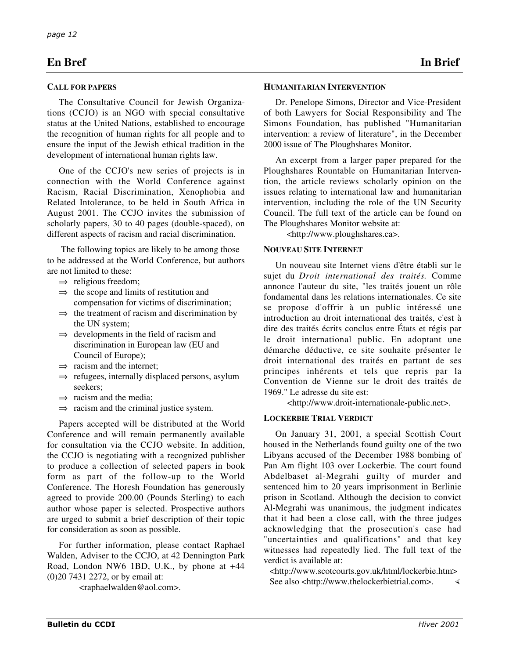## **En Bref In Brief**

#### **CALL FOR PAPERS**

The Consultative Council for Jewish Organizations (CCJO) is an NGO with special consultative status at the United Nations, established to encourage the recognition of human rights for all people and to ensure the input of the Jewish ethical tradition in the development of international human rights law.

One of the CCJO's new series of projects is in connection with the World Conference against Racism, Racial Discrimination, Xenophobia and Related Intolerance, to be held in South Africa in August 2001. The CCJO invites the submission of scholarly papers, 30 to 40 pages (double-spaced), on different aspects of racism and racial discrimination.

 The following topics are likely to be among those to be addressed at the World Conference, but authors are not limited to these:

- $\Rightarrow$  religious freedom;
- $\Rightarrow$  the scope and limits of restitution and compensation for victims of discrimination;
- $\Rightarrow$  the treatment of racism and discrimination by the UN system;
- $\Rightarrow$  developments in the field of racism and discrimination in European law (EU and Council of Europe);
- $\Rightarrow$  racism and the internet;
- ⇒ refugees, internally displaced persons, asylum seekers;
- $\Rightarrow$  racism and the media;
- $\Rightarrow$  racism and the criminal justice system.

Papers accepted will be distributed at the World Conference and will remain permanently available for consultation via the CCJO website. In addition, the CCJO is negotiating with a recognized publisher to produce a collection of selected papers in book form as part of the follow-up to the World Conference. The Horesh Foundation has generously agreed to provide 200.00 (Pounds Sterling) to each author whose paper is selected. Prospective authors are urged to submit a brief description of their topic for consideration as soon as possible.

For further information, please contact Raphael Walden, Adviser to the CCJO, at 42 Dennington Park Road, London NW6 1BD, U.K., by phone at +44 (0)20 7431 2272, or by email at:

<raphaelwalden@aol.com>.

Dr. Penelope Simons, Director and Vice-President of both Lawyers for Social Responsibility and The Simons Foundation, has published "Humanitarian intervention: a review of literature", in the December 2000 issue of The Ploughshares Monitor.

An excerpt from a larger paper prepared for the Ploughshares Rountable on Humanitarian Intervention, the article reviews scholarly opinion on the issues relating to international law and humanitarian intervention, including the role of the UN Security Council. The full text of the article can be found on The Ploughshares Monitor website at:

<http://www.ploughshares.ca>.

#### **NOUVEAU SITE INTERNET**

Un nouveau site Internet viens d'être établi sur le sujet du *Droit international des traités*. Comme annonce l'auteur du site, "les traités jouent un rôle fondamental dans les relations internationales. Ce site se propose d'offrir à un public intéressé une introduction au droit international des traités, c'est à dire des traités écrits conclus entre États et régis par le droit international public. En adoptant une démarche déductive, ce site souhaite présenter le droit international des traités en partant de ses principes inhérents et tels que repris par la Convention de Vienne sur le droit des traités de 1969." Le adresse du site est:

<http://www.droit-internationale-public.net>.

#### **LOCKERBIE TRIAL VERDICT**

On January 31, 2001, a special Scottish Court housed in the Netherlands found guilty one of the two Libyans accused of the December 1988 bombing of Pan Am flight 103 over Lockerbie. The court found Abdelbaset al-Megrahi guilty of murder and sentenced him to 20 years imprisonment in Berlinie prison in Scotland. Although the decision to convict Al-Megrahi was unanimous, the judgment indicates that it had been a close call, with the three judges acknowledging that the prosecution's case had "uncertainties and qualifications" and that key witnesses had repeatedly lied. The full text of the verdict is available at:

<http://www.scotcourts.gov.uk/html/lockerbie.htm> See also <http://www.thelockerbietrial.com>.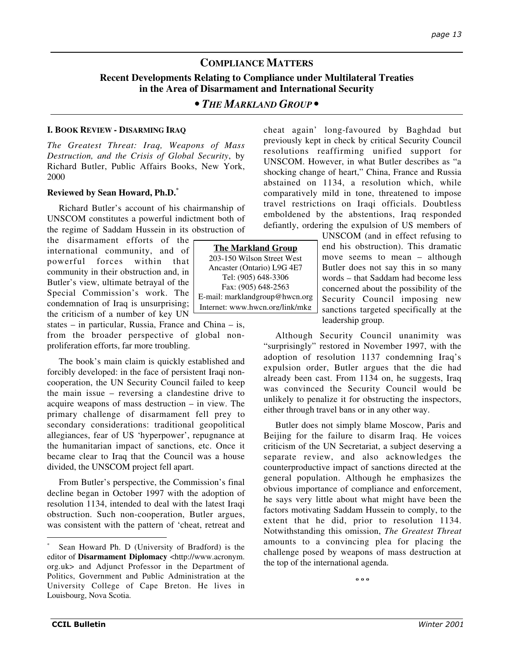# **COMPLIANCE MATTERS**

## **Recent Developments Relating to Compliance under Multilateral Treaties in the Area of Disarmament and International Security**

## *• THE MARKLAND GROUP •*

## **I. BOOK REVIEW - DISARMING IRAQ**

*The Greatest Threat: Iraq, Weapons of Mass Destruction, and the Crisis of Global Security*, by Richard Butler, Public Affairs Books, New York, 2000

## **Reviewed by Sean Howard, Ph.D.\***

Richard Butler's account of his chairmanship of UNSCOM constitutes a powerful indictment both of the regime of Saddam Hussein in its obstruction of

the disarmament efforts of the international community, and of powerful forces within that community in their obstruction and, in Butler's view, ultimate betrayal of the Special Commission's work. The condemnation of Iraq is unsurprising; the criticism of a number of key UN

states – in particular, Russia, France and China – is, from the broader perspective of global nonproliferation efforts, far more troubling.

The book's main claim is quickly established and forcibly developed: in the face of persistent Iraqi noncooperation, the UN Security Council failed to keep the main issue – reversing a clandestine drive to acquire weapons of mass destruction – in view. The primary challenge of disarmament fell prey to secondary considerations: traditional geopolitical allegiances, fear of US 'hyperpower', repugnance at the humanitarian impact of sanctions, etc. Once it became clear to Iraq that the Council was a house divided, the UNSCOM project fell apart.

From Butler's perspective, the Commission's final decline began in October 1997 with the adoption of resolution 1134, intended to deal with the latest Iraqi obstruction. Such non-cooperation, Butler argues, was consistent with the pattern of 'cheat, retreat and cheat again' long-favoured by Baghdad but previously kept in check by critical Security Council resolutions reaffirming unified support for UNSCOM. However, in what Butler describes as "a shocking change of heart," China, France and Russia abstained on 1134, a resolution which, while comparatively mild in tone, threatened to impose travel restrictions on Iraqi officials. Doubtless emboldened by the abstentions, Iraq responded defiantly, ordering the expulsion of US members of

> UNSCOM (and in effect refusing to end his obstruction). This dramatic move seems to mean – although Butler does not say this in so many words – that Saddam had become less concerned about the possibility of the Security Council imposing new sanctions targeted specifically at the leadership group.

Although Security Council unanimity was "surprisingly" restored in November 1997, with the adoption of resolution 1137 condemning Iraq's expulsion order, Butler argues that the die had already been cast. From 1134 on, he suggests, Iraq was convinced the Security Council would be unlikely to penalize it for obstructing the inspectors, either through travel bans or in any other way.

Butler does not simply blame Moscow, Paris and Beijing for the failure to disarm Iraq. He voices criticism of the UN Secretariat, a subject deserving a separate review, and also acknowledges the counterproductive impact of sanctions directed at the general population. Although he emphasizes the obvious importance of compliance and enforcement, he says very little about what might have been the factors motivating Saddam Hussein to comply, to the extent that he did, prior to resolution 1134. Notwithstanding this omission, *The Greatest Threat* amounts to a convincing plea for placing the challenge posed by weapons of mass destruction at the top of the international agenda.

**º º º**



Sean Howard Ph. D (University of Bradford) is the editor of **Disarmament Diplomacy** <http://www.acronym. org.uk> and Adjunct Professor in the Department of Politics, Government and Public Administration at the University College of Cape Breton. He lives in Louisbourg, Nova Scotia.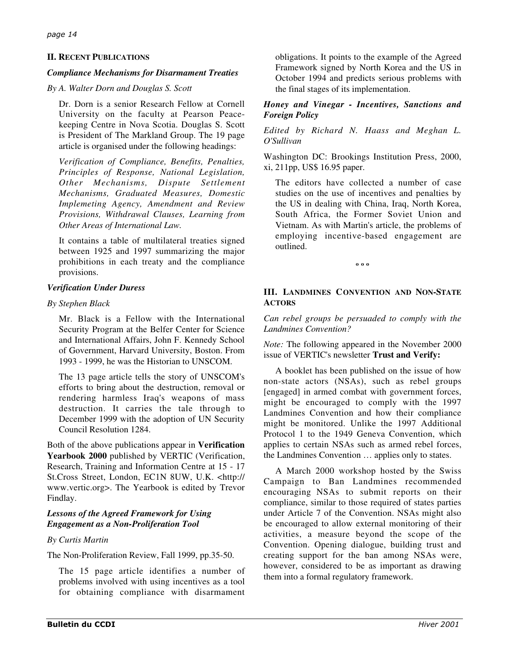## **II. RECENT PUBLICATIONS**

## *Compliance Mechanisms for Disarmament Treaties*

### *By A. Walter Dorn and Douglas S. Scott*

Dr. Dorn is a senior Research Fellow at Cornell University on the faculty at Pearson Peacekeeping Centre in Nova Scotia. Douglas S. Scott is President of The Markland Group. The 19 page article is organised under the following headings:

*Verification of Compliance, Benefits, Penalties, Principles of Response, National Legislation, Other Mechanisms, Dispute Settlement Mechanisms, Graduated Measures, Domestic Implemeting Agency, Amendment and Review Provisions, Withdrawal Clauses, Learning from Other Areas of International Law.*

It contains a table of multilateral treaties signed between 1925 and 1997 summarizing the major prohibitions in each treaty and the compliance provisions.

## *Verification Under Duress*

## *By Stephen Black*

Mr. Black is a Fellow with the International Security Program at the Belfer Center for Science and International Affairs, John F. Kennedy School of Government, Harvard University, Boston. From 1993 - 1999, he was the Historian to UNSCOM.

The 13 page article tells the story of UNSCOM's efforts to bring about the destruction, removal or rendering harmless Iraq's weapons of mass destruction. It carries the tale through to December 1999 with the adoption of UN Security Council Resolution 1284.

Both of the above publications appear in **Verification Yearbook 2000** published by VERTIC (Verification, Research, Training and Information Centre at 15 - 17 St.Cross Street, London, EC1N 8UW, U.K. <http:// www.vertic.org>. The Yearbook is edited by Trevor Findlay.

## *Lessons of the Agreed Framework for Using Engagement as a Non-Proliferation Tool*

## *By Curtis Martin*

The Non-Proliferation Review, Fall 1999, pp.35-50.

The 15 page article identifies a number of problems involved with using incentives as a tool for obtaining compliance with disarmament

obligations. It points to the example of the Agreed Framework signed by North Korea and the US in October 1994 and predicts serious problems with the final stages of its implementation.

## *Honey and Vinegar - Incentives, Sanctions and Foreign Policy*

*Edited by Richard N. Haass and Meghan L. O'Sullivan*

Washington DC: Brookings Institution Press, 2000, xi, 211pp, US\$ 16.95 paper.

The editors have collected a number of case studies on the use of incentives and penalties by the US in dealing with China, Iraq, North Korea, South Africa, the Former Soviet Union and Vietnam. As with Martin's article, the problems of employing incentive-based engagement are outlined.

**º º º**

## **III. LANDMINES CONVENTION AND NON-STATE ACTORS**

*Can rebel groups be persuaded to comply with the Landmines Convention?*

*Note:* The following appeared in the November 2000 issue of VERTIC's newsletter **Trust and Verify:**

A booklet has been published on the issue of how non-state actors (NSAs), such as rebel groups [engaged] in armed combat with government forces, might be encouraged to comply with the 1997 Landmines Convention and how their compliance might be monitored. Unlike the 1997 Additional Protocol 1 to the 1949 Geneva Convention, which applies to certain NSAs such as armed rebel forces, the Landmines Convention … applies only to states.

A March 2000 workshop hosted by the Swiss Campaign to Ban Landmines recommended encouraging NSAs to submit reports on their compliance, similar to those required of states parties under Article 7 of the Convention. NSAs might also be encouraged to allow external monitoring of their activities, a measure beyond the scope of the Convention. Opening dialogue, building trust and creating support for the ban among NSAs were, however, considered to be as important as drawing them into a formal regulatory framework.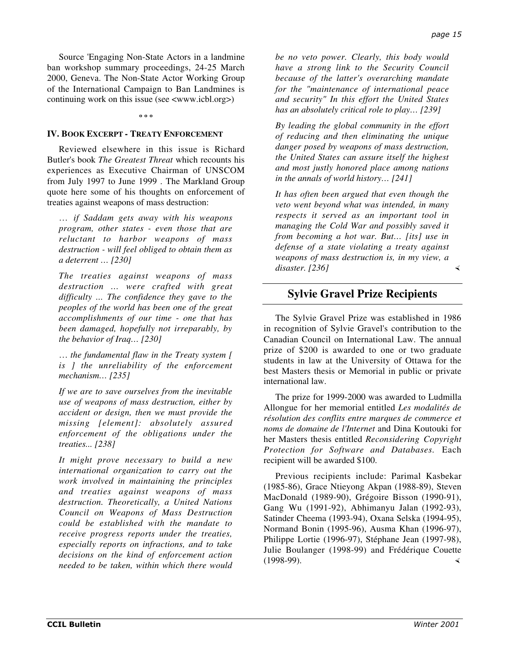Source 'Engaging Non-State Actors in a landmine ban workshop summary proceedings, 24-25 March 2000, Geneva. The Non-State Actor Working Group of the International Campaign to Ban Landmines is continuing work on this issue (see <www.icbl.org>)

**º º º**

### **IV. BOOK EXCERPT - TREATY ENFORCEMENT**

Reviewed elsewhere in this issue is Richard Butler's book *The Greatest Threat* which recounts his experiences as Executive Chairman of UNSCOM from July 1997 to June 1999 . The Markland Group quote here some of his thoughts on enforcement of treaties against weapons of mass destruction:

… *if Saddam gets away with his weapons program, other states - even those that are reluctant to harbor weapons of mass destruction - will feel obliged to obtain them as a deterrent … [230]*

*The treaties against weapons of mass destruction … were crafted with great difficulty ... The confidence they gave to the peoples of the world has been one of the great accomplishments of our time - one that has been damaged, hopefully not irreparably, by the behavior of Iraq… [230]*

… *the fundamental flaw in the Treaty system [ is ] the unreliability of the enforcement mechanism… [235]*

*If we are to save ourselves from the inevitable use of weapons of mass destruction, either by accident or design, then we must provide the missing [element]: absolutely assured enforcement of the obligations under the treaties... [238]*

*It might prove necessary to build a new international organization to carry out the work involved in maintaining the principles and treaties against weapons of mass destruction. Theoretically, a United Nations Council on Weapons of Mass Destruction could be established with the mandate to receive progress reports under the treaties, especially reports on infractions, and to take decisions on the kind of enforcement action needed to be taken, within which there would*

*be no veto power. Clearly, this body would have a strong link to the Security Council because of the latter's overarching mandate for the "maintenance of international peace and security" In this effort the United States has an absolutely critical role to play… [239]*

*By leading the global community in the effort of reducing and then eliminating the unique danger posed by weapons of mass destruction, the United States can assure itself the highest and most justly honored place among nations in the annals of world history… [241]*

*It has often been argued that even though the veto went beyond what was intended, in many respects it served as an important tool in managing the Cold War and possibly saved it from becoming a hot war. But… [its] use in defense of a state violating a treaty against weapons of mass destruction is, in my view, a disaster. [236]*

## **Sylvie Gravel Prize Recipients**

The Sylvie Gravel Prize was established in 1986 in recognition of Sylvie Gravel's contribution to the Canadian Council on International Law. The annual prize of \$200 is awarded to one or two graduate students in law at the University of Ottawa for the best Masters thesis or Memorial in public or private international law.

The prize for 1999-2000 was awarded to Ludmilla Allongue for her memorial entitled *Les modalités de résolution des conflits entre marques de commerce et noms de domaine de l'Internet* and Dina Koutouki for her Masters thesis entitled *Reconsidering Copyright Protection for Software and Databases*. Each recipient will be awarded \$100.

Previous recipients include: Parimal Kasbekar (1985-86), Grace Ntieyong Akpan (1988-89), Steven MacDonald (1989-90), Grégoire Bisson (1990-91), Gang Wu (1991-92), Abhimanyu Jalan (1992-93), Satinder Cheema (1993-94), Oxana Selska (1994-95), Normand Bonin (1995-96), Ausma Khan (1996-97), Philippe Lortie (1996-97), Stéphane Jean (1997-98), Julie Boulanger (1998-99) and Frédérique Couette (1998-99).